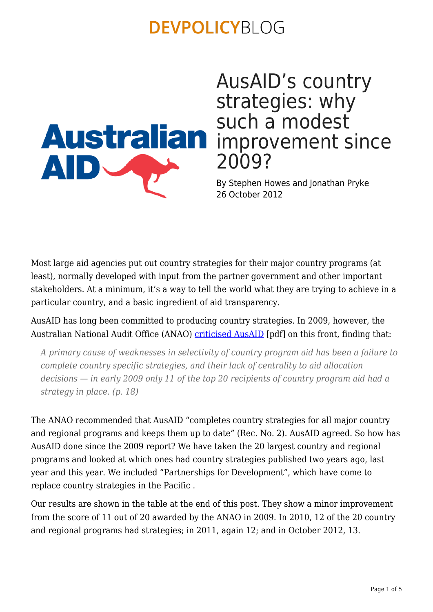

AusAID's country strategies: why such a modest 2009?

By Stephen Howes and Jonathan Pryke 26 October 2012

Most large aid agencies put out country strategies for their major country programs (at least), normally developed with input from the partner government and other important stakeholders. At a minimum, it's a way to tell the world what they are trying to achieve in a particular country, and a basic ingredient of aid transparency.

AusAID has long been committed to producing country strategies. In 2009, however, the Australian National Audit Office (ANAO) [criticised AusAID](http://www.anao.gov.au/uploads/documents/2009-10_Audit_Report_15.pdf) [pdf] on this front, finding that:

*A primary cause of weaknesses in selectivity of country program aid has been a failure to complete country specific strategies, and their lack of centrality to aid allocation decisions — in early 2009 only 11 of the top 20 recipients of country program aid had a strategy in place. (p. 18)*

The ANAO recommended that AusAID "completes country strategies for all major country and regional programs and keeps them up to date" (Rec. No. 2). AusAID agreed. So how has AusAID done since the 2009 report? We have taken the 20 largest country and regional programs and looked at which ones had country strategies published two years ago, last year and this year. We included "Partnerships for Development", which have come to replace country strategies in the Pacific .

Our results are shown in the table at the end of this post. They show a minor improvement from the score of 11 out of 20 awarded by the ANAO in 2009. In 2010, 12 of the 20 country and regional programs had strategies; in 2011, again 12; and in October 2012, 13.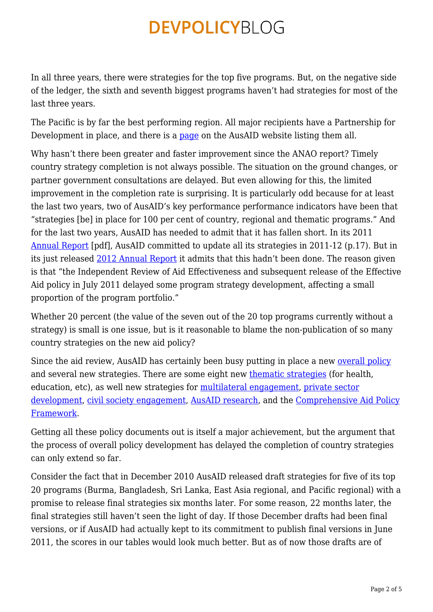In all three years, there were strategies for the top five programs. But, on the negative side of the ledger, the sixth and seventh biggest programs haven't had strategies for most of the last three years.

The Pacific is by far the best performing region. All major recipients have a Partnership for Development in place, and there is a [page](http://www.ausaid.gov.au/countries/Pacific/partnership/Pages/default.aspx) on the AusAID website listing them all.

Why hasn't there been greater and faster improvement since the ANAO report? Timely country strategy completion is not always possible. The situation on the ground changes, or partner government consultations are delayed. But even allowing for this, the limited improvement in the completion rate is surprising. It is particularly odd because for at least the last two years, two of AusAID's key performance performance indicators have been that "strategies [be] in place for 100 per cent of country, regional and thematic programs." And for the last two years, AusAID has needed to admit that it has fallen short. In its 2011 [Annual Report](http://www.ausaid.gov.au/makediff/pages/strategy.aspx) [pdf], AusAID committed to update all its strategies in 2011-12 (p.17). But in its just released [2012 Annual Report](http://www.ausaid.gov.au/AnnualReports/Pages/rep12default.aspx) it admits that this hadn't been done. The reason given is that "the Independent Review of Aid Effectiveness and subsequent release of the Effective Aid policy in July 2011 delayed some program strategy development, affecting a small proportion of the program portfolio."

Whether 20 percent (the value of the seven out of the 20 top programs currently without a strategy) is small is one issue, but is it reasonable to blame the non-publication of so many country strategies on the new aid policy?

Since the aid review, AusAID has certainly been busy putting in place a new [overall policy](http://www.ausaid.gov.au/publications/Pages/5621_9774_1073_3040_2380.aspx) and several new strategies. There are some eight new [thematic strategies](http://www.ausaid.gov.au/aidissues/Pages/home.aspx) (for health, education, etc), as well new strategies for [multilateral engagement,](http://www.ausaid.gov.au/Publications/Pages/multilateral-engagement-strategy.aspx) [private sector](http://www.ausaid.gov.au/publications/pages/private-sector-development-strategy.aspx) [development](http://www.ausaid.gov.au/publications/pages/private-sector-development-strategy.aspx), [civil society engagement,](http://www.ausaid.gov.au/Publications/Pages/civil-society-engagement-framework.aspx) [AusAID research,](http://www.ausaid.gov.au/Publications/Pages/research-strategy-2011-16.aspx) and the [Comprehensive Aid Policy](http://www.ausaid.gov.au/makediff/Pages/capf.aspx) [Framework.](http://www.ausaid.gov.au/makediff/Pages/capf.aspx)

Getting all these policy documents out is itself a major achievement, but the argument that the process of overall policy development has delayed the completion of country strategies can only extend so far.

Consider the fact that in December 2010 AusAID released draft strategies for five of its top 20 programs (Burma, Bangladesh, Sri Lanka, East Asia regional, and Pacific regional) with a promise to release final strategies six months later. For some reason, 22 months later, the final strategies still haven't seen the light of day. If those December drafts had been final versions, or if AusAID had actually kept to its commitment to publish final versions in June 2011, the scores in our tables would look much better. But as of now those drafts are of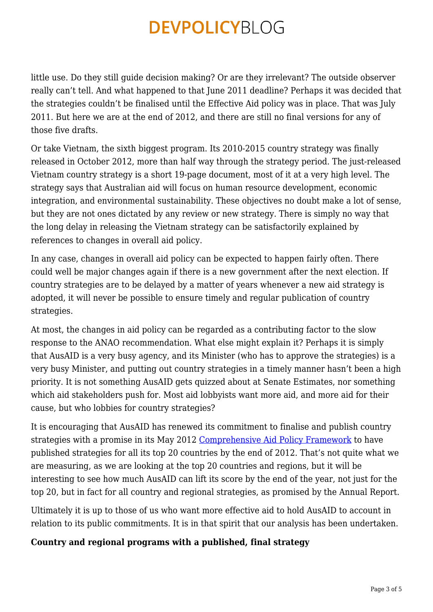little use. Do they still guide decision making? Or are they irrelevant? The outside observer really can't tell. And what happened to that June 2011 deadline? Perhaps it was decided that the strategies couldn't be finalised until the Effective Aid policy was in place. That was July 2011. But here we are at the end of 2012, and there are still no final versions for any of those five drafts.

Or take Vietnam, the sixth biggest program. Its 2010-2015 country strategy was finally released in October 2012, more than half way through the strategy period. The just-released Vietnam country strategy is a short 19-page document, most of it at a very high level. The strategy says that Australian aid will focus on human resource development, economic integration, and environmental sustainability. These objectives no doubt make a lot of sense, but they are not ones dictated by any review or new strategy. There is simply no way that the long delay in releasing the Vietnam strategy can be satisfactorily explained by references to changes in overall aid policy.

In any case, changes in overall aid policy can be expected to happen fairly often. There could well be major changes again if there is a new government after the next election. If country strategies are to be delayed by a matter of years whenever a new aid strategy is adopted, it will never be possible to ensure timely and regular publication of country strategies.

At most, the changes in aid policy can be regarded as a contributing factor to the slow response to the ANAO recommendation. What else might explain it? Perhaps it is simply that AusAID is a very busy agency, and its Minister (who has to approve the strategies) is a very busy Minister, and putting out country strategies in a timely manner hasn't been a high priority. It is not something AusAID gets quizzed about at Senate Estimates, nor something which aid stakeholders push for. Most aid lobbyists want more aid, and more aid for their cause, but who lobbies for country strategies?

It is encouraging that AusAID has renewed its commitment to finalise and publish country strategies with a promise in its May 2012 [Comprehensive Aid Policy Framework](http://www.ausaid.gov.au/Publications/Pages/comprehensive-aid-policy-framework.aspx) to have published strategies for all its top 20 countries by the end of 2012. That's not quite what we are measuring, as we are looking at the top 20 countries and regions, but it will be interesting to see how much AusAID can lift its score by the end of the year, not just for the top 20, but in fact for all country and regional strategies, as promised by the Annual Report.

Ultimately it is up to those of us who want more effective aid to hold AusAID to account in relation to its public commitments. It is in that spirit that our analysis has been undertaken.

#### **Country and regional programs with a published, final strategy**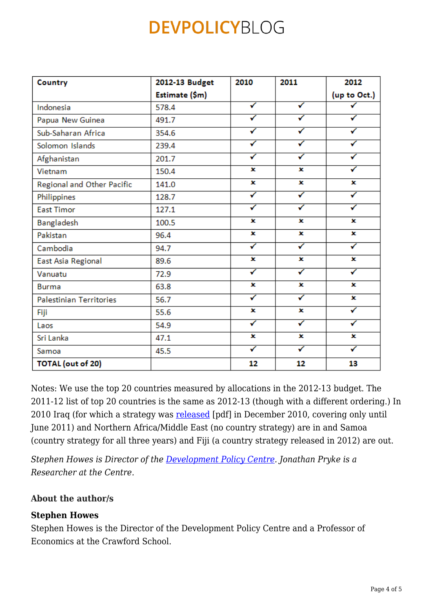| Country                        | 2012-13 Budget | 2010 | 2011 | 2012         |
|--------------------------------|----------------|------|------|--------------|
|                                | Estimate (\$m) |      |      | (up to Oct.) |
| Indonesia                      | 578.4          | ✓    | ✓    |              |
| Papua New Guinea               | 491.7          | ✓    | ✓    | ✓            |
| Sub-Saharan Africa             | 354.6          | ✓    |      | ✓            |
| Solomon Islands                | 239.4          | ✓    | ✓    | ✓            |
| Afghanistan                    | 201.7          | ✓    | ✓    | ✓            |
| Vietnam                        | 150.4          | ×    | ×    | ✓            |
| Regional and Other Pacific     | 141.0          | ×    | ×    | ×            |
| Philippines                    | 128.7          | ✓    | ✓    | ✓            |
| <b>East Timor</b>              | 127.1          | ✓    | ✓    | ✓            |
| Bangladesh                     | 100.5          | x    | ×    | ×            |
| Pakistan                       | 96.4           | ×    | ×    | ×            |
| Cambodia                       | 94.7           | ✓    | ✓    | ✓            |
| East Asia Regional             | 89.6           | ×    | ×    | ×            |
| Vanuatu                        | 72.9           | ✓    | ✓    | ✓            |
| <b>Burma</b>                   | 63.8           | ×    | ×    | ×            |
| <b>Palestinian Territories</b> | 56.7           | ✓    | ✓    | ×            |
| Fiji                           | 55.6           | ×    | x    | ✓            |
| Laos                           | 54.9           | ✓    | ✓    | ✓            |
| Sri Lanka                      | 47.1           | ×    | ×    | ×            |
| Samoa                          | 45.5           | ✓    | ✓    | ✓            |
| <b>TOTAL</b> (out of 20)       |                | 12   | 12   | 13           |

Notes: We use the top 20 countries measured by allocations in the 2012-13 budget. The 2011-12 list of top 20 countries is the same as 2012-13 (though with a different ordering.) In 2010 Iraq (for which a strategy was [released](http://www.ausaid.gov.au/Publications/Documents/101216%20Strategic%20approach%20to%20aid%20in%20Iraq%20-%20Dec%202010.pdf) [pdf] in December 2010, covering only until June 2011) and Northern Africa/Middle East (no country strategy) are in and Samoa (country strategy for all three years) and Fiji (a country strategy released in 2012) are out.

*Stephen Howes is Director of the [Development Policy Centre.](http://devpolicy.anu.edu.au) Jonathan Pryke is a Researcher at the Centre.*

#### **About the author/s**

#### **Stephen Howes**

Stephen Howes is the Director of the Development Policy Centre and a Professor of Economics at the Crawford School.